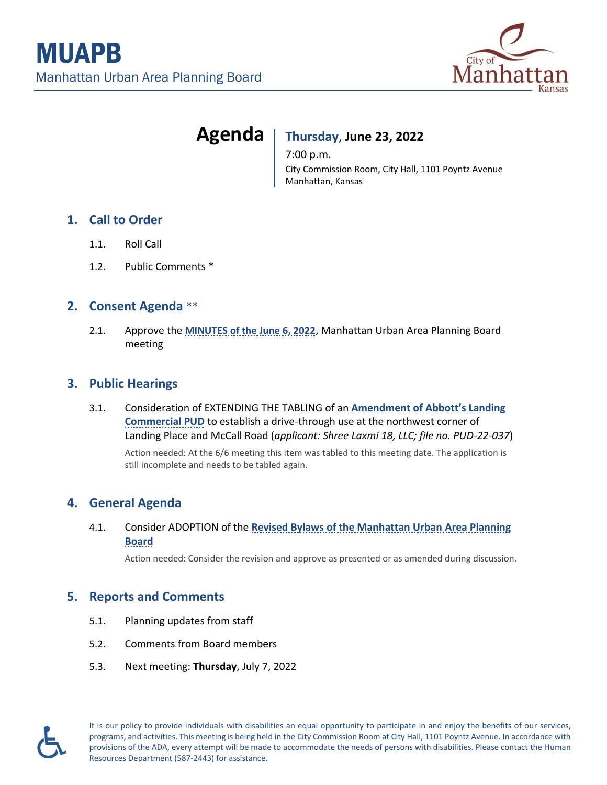

# **Agenda Thursday**, **June 23, 2022**

7:00 p.m. City Commission Room, City Hall, 1101 Poyntz Avenue Manhattan, Kansas

# **1. Call to Order**

- 1.1. Roll Call
- 1.2. Public Comments \*

# **2. Consent Agenda** \*\*

2.1. Approve the **MINUTES [of the June 6, 2022](https://cityofmhk.com/DocumentCenter/View/64876/21__Minutes_pb_2022-06-06)**, Manhattan Urban Area Planning Board meeting

#### **3. Public Hearings**

3.1. Consideration of EXTENDING THE TABLING of an **[Amendment of Abbott's Landing](https://cityofmhk.com/DocumentCenter/View/64877/31__Memo_Continuance_Tropical-Smoothie)  [Commercial PUD](https://cityofmhk.com/DocumentCenter/View/64877/31__Memo_Continuance_Tropical-Smoothie)** to establish a drive-through use at the northwest corner of Landing Place and McCall Road (*applicant: Shree Laxmi 18, LLC; file no. PUD-22-037*) Action needed: At the 6/6 meeting this item was tabled to this meeting date. The application is still incomplete and needs to be tabled again.

# **4. General Agenda**

4.1. Consider ADOPTION of the **[Revised Bylaws of the Manhattan Urban Area Planning](https://cityofmhk.com/DocumentCenter/View/64881/41a__Memo-03_-second-review_-GLP-22-003)  [Board](https://cityofmhk.com/DocumentCenter/View/64881/41a__Memo-03_-second-review_-GLP-22-003)**

Action needed: Consider the revision and approve as presented or as amended during discussion.

#### **5. Reports and Comments**

- 5.1. Planning updates from staff
- 5.2. Comments from Board members
- 5.3. Next meeting: **Thursday**, July 7, 2022



It is our policy to provide individuals with disabilities an equal opportunity to participate in and enjoy the benefits of our services, programs, and activities. This meeting is being held in the City Commission Room at City Hall, 1101 Poyntz Avenue. In accordance with provisions of the ADA, every attempt will be made to accommodate the needs of persons with disabilities. Please contact the Human Resources Department (587-2443) for assistance.